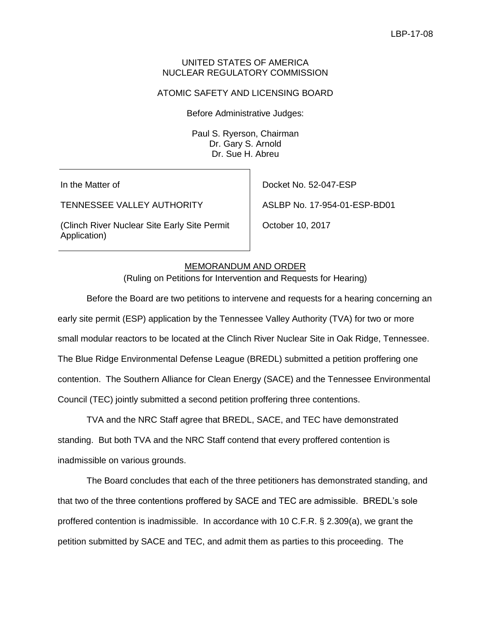### UNITED STATES OF AMERICA NUCLEAR REGULATORY COMMISSION

### ATOMIC SAFETY AND LICENSING BOARD

Before Administrative Judges:

Paul S. Ryerson, Chairman Dr. Gary S. Arnold Dr. Sue H. Abreu

In the Matter of

TENNESSEE VALLEY AUTHORITY

(Clinch River Nuclear Site Early Site Permit Application)

Docket No. 52-047-ESP

ASLBP No. 17-954-01-ESP-BD01

October 10, 2017

### MEMORANDUM AND ORDER

(Ruling on Petitions for Intervention and Requests for Hearing)

Before the Board are two petitions to intervene and requests for a hearing concerning an early site permit (ESP) application by the Tennessee Valley Authority (TVA) for two or more small modular reactors to be located at the Clinch River Nuclear Site in Oak Ridge, Tennessee. The Blue Ridge Environmental Defense League (BREDL) submitted a petition proffering one contention. The Southern Alliance for Clean Energy (SACE) and the Tennessee Environmental Council (TEC) jointly submitted a second petition proffering three contentions.

TVA and the NRC Staff agree that BREDL, SACE, and TEC have demonstrated standing. But both TVA and the NRC Staff contend that every proffered contention is inadmissible on various grounds.

The Board concludes that each of the three petitioners has demonstrated standing, and that two of the three contentions proffered by SACE and TEC are admissible. BREDL's sole proffered contention is inadmissible. In accordance with 10 C.F.R. § 2.309(a), we grant the petition submitted by SACE and TEC, and admit them as parties to this proceeding. The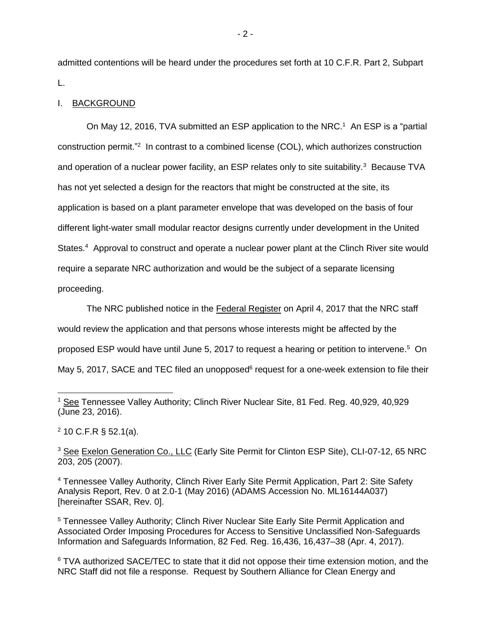admitted contentions will be heard under the procedures set forth at 10 C.F.R. Part 2, Subpart L.

### I. BACKGROUND

On May 12, 2016, TVA submitted an ESP application to the NRC.<sup>1</sup> An ESP is a "partial construction permit."<sup>2</sup> In contrast to a combined license (COL), which authorizes construction and operation of a nuclear power facility, an ESP relates only to site suitability.<sup>3</sup> Because TVA has not yet selected a design for the reactors that might be constructed at the site, its application is based on a plant parameter envelope that was developed on the basis of four different light-water small modular reactor designs currently under development in the United States.<sup>4</sup> Approval to construct and operate a nuclear power plant at the Clinch River site would require a separate NRC authorization and would be the subject of a separate licensing proceeding.

The NRC published notice in the Federal Register on April 4, 2017 that the NRC staff would review the application and that persons whose interests might be affected by the proposed ESP would have until June 5, 2017 to request a hearing or petition to intervene.<sup>5</sup> On May 5, 2017, SACE and TEC filed an unopposed<sup>6</sup> request for a one-week extension to file their

 $2$  10 C.F.R § 52.1(a).

- 2 -

<sup>1</sup> See Tennessee Valley Authority; Clinch River Nuclear Site, 81 Fed. Reg. 40,929, 40,929 (June 23, 2016).

<sup>&</sup>lt;sup>3</sup> See Exelon Generation Co., LLC (Early Site Permit for Clinton ESP Site), CLI-07-12, 65 NRC 203, 205 (2007).

<sup>4</sup> Tennessee Valley Authority, Clinch River Early Site Permit Application, Part 2: Site Safety Analysis Report, Rev. 0 at 2.0-1 (May 2016) (ADAMS Accession No. ML16144A037) [hereinafter SSAR, Rev. 0].

<sup>5</sup> Tennessee Valley Authority; Clinch River Nuclear Site Early Site Permit Application and Associated Order Imposing Procedures for Access to Sensitive Unclassified Non-Safeguards Information and Safeguards Information, 82 Fed. Reg. 16,436, 16,437–38 (Apr. 4, 2017).

<sup>&</sup>lt;sup>6</sup> TVA authorized SACE/TEC to state that it did not oppose their time extension motion, and the NRC Staff did not file a response. Request by Southern Alliance for Clean Energy and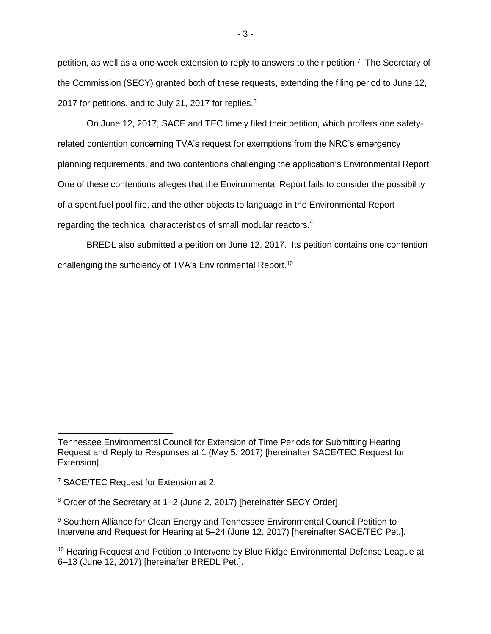petition, as well as a one-week extension to reply to answers to their petition.<sup>7</sup> The Secretary of the Commission (SECY) granted both of these requests, extending the filing period to June 12, 2017 for petitions, and to July 21, 2017 for replies.<sup>8</sup>

On June 12, 2017, SACE and TEC timely filed their petition, which proffers one safetyrelated contention concerning TVA's request for exemptions from the NRC's emergency planning requirements, and two contentions challenging the application's Environmental Report. One of these contentions alleges that the Environmental Report fails to consider the possibility of a spent fuel pool fire, and the other objects to language in the Environmental Report regarding the technical characteristics of small modular reactors.<sup>9</sup>

BREDL also submitted a petition on June 12, 2017. Its petition contains one contention challenging the sufficiency of TVA's Environmental Report.<sup>10</sup>

Tennessee Environmental Council for Extension of Time Periods for Submitting Hearing Request and Reply to Responses at 1 (May 5, 2017) [hereinafter SACE/TEC Request for Extension].

<sup>7</sup> SACE/TEC Request for Extension at 2.

<sup>8</sup> Order of the Secretary at 1–2 (June 2, 2017) [hereinafter SECY Order].

<sup>9</sup> Southern Alliance for Clean Energy and Tennessee Environmental Council Petition to Intervene and Request for Hearing at 5–24 (June 12, 2017) [hereinafter SACE/TEC Pet.].

<sup>&</sup>lt;sup>10</sup> Hearing Request and Petition to Intervene by Blue Ridge Environmental Defense League at 6–13 (June 12, 2017) [hereinafter BREDL Pet.].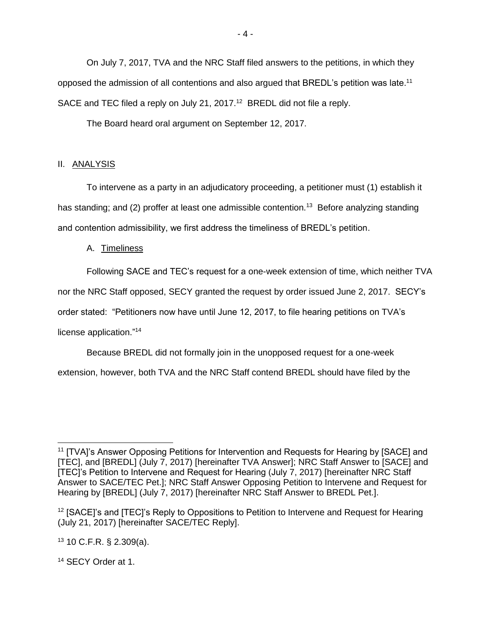On July 7, 2017, TVA and the NRC Staff filed answers to the petitions, in which they opposed the admission of all contentions and also argued that BREDL's petition was late.<sup>11</sup> SACE and TEC filed a reply on July 21, 2017.<sup>12</sup> BREDL did not file a reply.

The Board heard oral argument on September 12, 2017.

# II. ANALYSIS

To intervene as a party in an adjudicatory proceeding, a petitioner must (1) establish it has standing; and (2) proffer at least one admissible contention.<sup>13</sup> Before analyzing standing and contention admissibility, we first address the timeliness of BREDL's petition.

# A. Timeliness

Following SACE and TEC's request for a one-week extension of time, which neither TVA

nor the NRC Staff opposed, SECY granted the request by order issued June 2, 2017. SECY's

order stated: "Petitioners now have until June 12, 2017, to file hearing petitions on TVA's

license application."<sup>14</sup>

Because BREDL did not formally join in the unopposed request for a one-week

extension, however, both TVA and the NRC Staff contend BREDL should have filed by the

 $13$  10 C.F.R. § 2.309(a).

<sup>14</sup> SECY Order at 1.

<sup>11</sup> [TVA]'s Answer Opposing Petitions for Intervention and Requests for Hearing by [SACE] and [TEC], and [BREDL] (July 7, 2017) [hereinafter TVA Answer]; NRC Staff Answer to [SACE] and [TEC]'s Petition to Intervene and Request for Hearing (July 7, 2017) [hereinafter NRC Staff Answer to SACE/TEC Pet.]; NRC Staff Answer Opposing Petition to Intervene and Request for Hearing by [BREDL] (July 7, 2017) [hereinafter NRC Staff Answer to BREDL Pet.].

<sup>&</sup>lt;sup>12</sup> [SACE]'s and [TEC]'s Reply to Oppositions to Petition to Intervene and Request for Hearing (July 21, 2017) [hereinafter SACE/TEC Reply].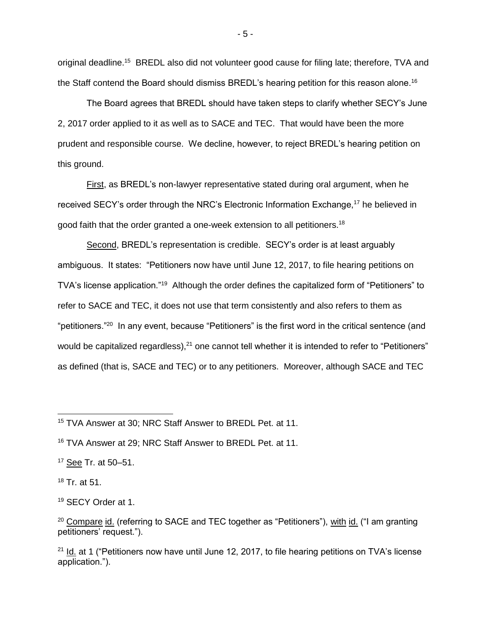original deadline.<sup>15</sup> BREDL also did not volunteer good cause for filing late; therefore, TVA and the Staff contend the Board should dismiss BREDL's hearing petition for this reason alone.<sup>16</sup>

The Board agrees that BREDL should have taken steps to clarify whether SECY's June 2, 2017 order applied to it as well as to SACE and TEC. That would have been the more prudent and responsible course. We decline, however, to reject BREDL's hearing petition on this ground.

First, as BREDL's non-lawyer representative stated during oral argument, when he received SECY's order through the NRC's Electronic Information Exchange,<sup>17</sup> he believed in good faith that the order granted a one-week extension to all petitioners.<sup>18</sup>

Second, BREDL's representation is credible. SECY's order is at least arguably ambiguous. It states: "Petitioners now have until June 12, 2017, to file hearing petitions on TVA's license application."<sup>19</sup> Although the order defines the capitalized form of "Petitioners" to refer to SACE and TEC, it does not use that term consistently and also refers to them as "petitioners."<sup>20</sup> In any event, because "Petitioners" is the first word in the critical sentence (and would be capitalized regardless), $^{21}$  one cannot tell whether it is intended to refer to "Petitioners" as defined (that is, SACE and TEC) or to any petitioners. Moreover, although SACE and TEC

<sup>18</sup> Tr. at 51.

<sup>19</sup> SECY Order at 1.

 $20$  Compare id. (referring to SACE and TEC together as "Petitioners"), with id. ("I am granting petitioners' request.").

 $21$  Id. at 1 ("Petitioners now have until June 12, 2017, to file hearing petitions on TVA's license application.").

- 5 -

<sup>15</sup> TVA Answer at 30; NRC Staff Answer to BREDL Pet. at 11.

<sup>16</sup> TVA Answer at 29; NRC Staff Answer to BREDL Pet. at 11.

<sup>17</sup> See Tr. at 50–51.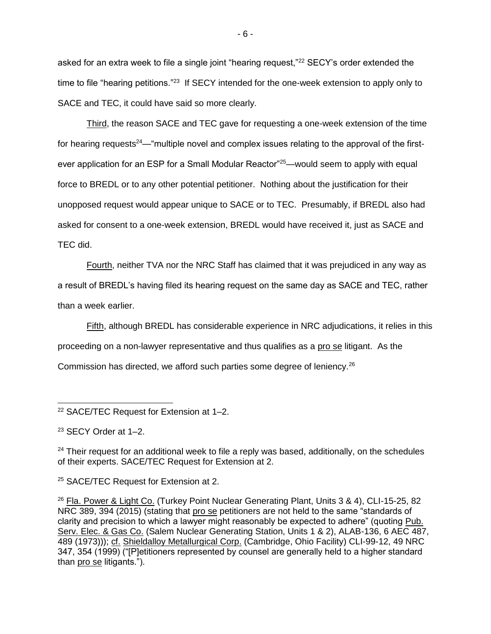asked for an extra week to file a single joint "hearing request,"<sup>22</sup> SECY's order extended the time to file "hearing petitions."<sup>23</sup> If SECY intended for the one-week extension to apply only to SACE and TEC, it could have said so more clearly.

Third, the reason SACE and TEC gave for requesting a one-week extension of the time for hearing requests<sup>24</sup>—"multiple novel and complex issues relating to the approval of the firstever application for an ESP for a Small Modular Reactor<sup>"25</sup>—would seem to apply with equal force to BREDL or to any other potential petitioner. Nothing about the justification for their unopposed request would appear unique to SACE or to TEC. Presumably, if BREDL also had asked for consent to a one-week extension, BREDL would have received it, just as SACE and TEC did.

Fourth, neither TVA nor the NRC Staff has claimed that it was prejudiced in any way as a result of BREDL's having filed its hearing request on the same day as SACE and TEC, rather than a week earlier.

Fifth, although BREDL has considerable experience in NRC adjudications, it relies in this proceeding on a non-lawyer representative and thus qualifies as a pro se litigant. As the Commission has directed, we afford such parties some degree of leniency.<sup>26</sup>

<sup>23</sup> SECY Order at 1–2.

 $24$  Their request for an additional week to file a reply was based, additionally, on the schedules of their experts. SACE/TEC Request for Extension at 2.

<sup>25</sup> SACE/TEC Request for Extension at 2.

<sup>26</sup> Fla. Power & Light Co. (Turkey Point Nuclear Generating Plant, Units 3 & 4), CLI-15-25, 82 NRC 389, 394 (2015) (stating that pro se petitioners are not held to the same "standards of clarity and precision to which a lawyer might reasonably be expected to adhere" (quoting Pub. Serv. Elec. & Gas Co. (Salem Nuclear Generating Station, Units 1 & 2), ALAB-136, 6 AEC 487, 489 (1973))); cf. Shieldalloy Metallurgical Corp. (Cambridge, Ohio Facility) CLI-99-12, 49 NRC 347, 354 (1999) ("[P]etitioners represented by counsel are generally held to a higher standard than pro se litigants.").

 <sup>22</sup> SACE/TEC Request for Extension at 1–2.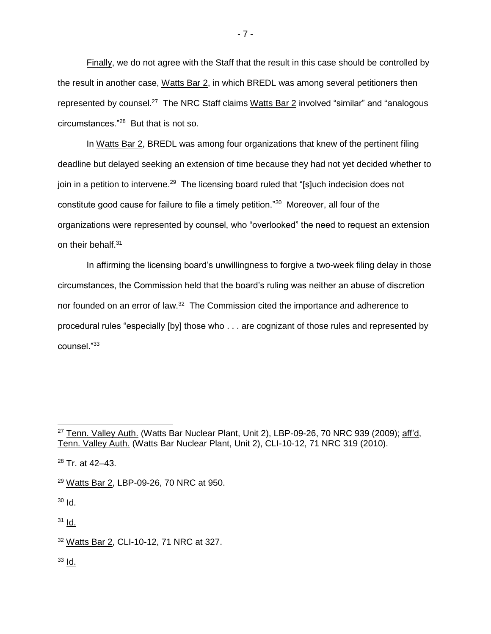Finally, we do not agree with the Staff that the result in this case should be controlled by the result in another case, Watts Bar 2, in which BREDL was among several petitioners then represented by counsel.<sup>27</sup> The NRC Staff claims Watts Bar 2 involved "similar" and "analogous circumstances."<sup>28</sup> But that is not so.

In Watts Bar 2, BREDL was among four organizations that knew of the pertinent filing deadline but delayed seeking an extension of time because they had not yet decided whether to join in a petition to intervene.<sup>29</sup> The licensing board ruled that "[s]uch indecision does not constitute good cause for failure to file a timely petition."<sup>30</sup> Moreover, all four of the organizations were represented by counsel, who "overlooked" the need to request an extension on their behalf.<sup>31</sup>

In affirming the licensing board's unwillingness to forgive a two-week filing delay in those circumstances, the Commission held that the board's ruling was neither an abuse of discretion nor founded on an error of law.<sup>32</sup> The Commission cited the importance and adherence to procedural rules "especially [by] those who . . . are cognizant of those rules and represented by counsel."<sup>33</sup>

<sup>29</sup> Watts Bar 2, LBP-09-26, 70 NRC at 950.

<sup>30</sup> Id.

 $\overline{a}$ 

 $31$  Id.

 $33$  Id.

 $27$  Tenn. Valley Auth. (Watts Bar Nuclear Plant, Unit 2), LBP-09-26, 70 NRC 939 (2009); aff'd, Tenn. Valley Auth. (Watts Bar Nuclear Plant, Unit 2), CLI-10-12, 71 NRC 319 (2010).

<sup>28</sup> Tr. at 42–43.

<sup>32</sup> Watts Bar 2, CLI-10-12, 71 NRC at 327.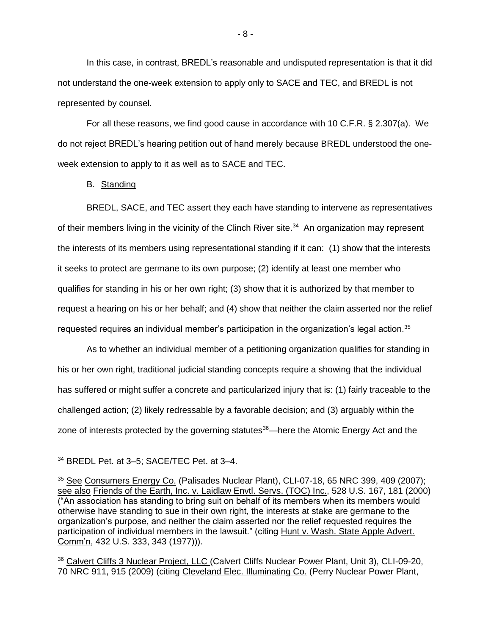In this case, in contrast, BREDL's reasonable and undisputed representation is that it did not understand the one-week extension to apply only to SACE and TEC, and BREDL is not represented by counsel.

For all these reasons, we find good cause in accordance with 10 C.F.R. § 2.307(a). We do not reject BREDL's hearing petition out of hand merely because BREDL understood the oneweek extension to apply to it as well as to SACE and TEC.

B. Standing

BREDL, SACE, and TEC assert they each have standing to intervene as representatives of their members living in the vicinity of the Clinch River site.<sup>34</sup> An organization may represent the interests of its members using representational standing if it can: (1) show that the interests it seeks to protect are germane to its own purpose; (2) identify at least one member who qualifies for standing in his or her own right; (3) show that it is authorized by that member to request a hearing on his or her behalf; and (4) show that neither the claim asserted nor the relief requested requires an individual member's participation in the organization's legal action.<sup>35</sup>

As to whether an individual member of a petitioning organization qualifies for standing in his or her own right, traditional judicial standing concepts require a showing that the individual has suffered or might suffer a concrete and particularized injury that is: (1) fairly traceable to the challenged action; (2) likely redressable by a favorable decision; and (3) arguably within the zone of interests protected by the governing statutes<sup>36</sup>—here the Atomic Energy Act and the

 $\overline{a}$ 

<sup>36</sup> Calvert Cliffs 3 Nuclear Project, LLC (Calvert Cliffs Nuclear Power Plant, Unit 3), CLI-09-20, 70 NRC 911, 915 (2009) (citing Cleveland Elec. Illuminating Co. (Perry Nuclear Power Plant,

- 8 -

<sup>34</sup> BREDL Pet. at 3–5; SACE/TEC Pet. at 3–4.

 $35$  See Consumers Energy Co. (Palisades Nuclear Plant), CLI-07-18, 65 NRC 399, 409 (2007); see also Friends of the Earth, Inc. v. Laidlaw Envtl. Servs. (TOC) Inc., 528 U.S. 167, 181 (2000) ("An association has standing to bring suit on behalf of its members when its members would otherwise have standing to sue in their own right, the interests at stake are germane to the organization's purpose, and neither the claim asserted nor the relief requested requires the participation of individual members in the lawsuit." (citing Hunt v. Wash. State Apple Advert. Comm'n, 432 U.S. 333, 343 (1977))).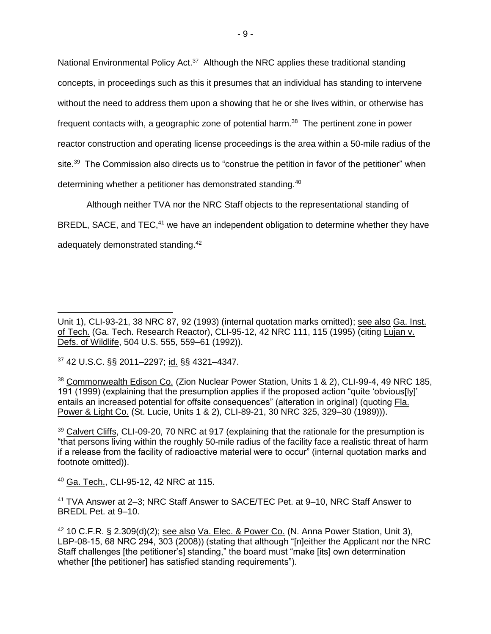National Environmental Policy Act.<sup>37</sup> Although the NRC applies these traditional standing concepts, in proceedings such as this it presumes that an individual has standing to intervene without the need to address them upon a showing that he or she lives within, or otherwise has frequent contacts with, a geographic zone of potential harm.<sup>38</sup> The pertinent zone in power reactor construction and operating license proceedings is the area within a 50-mile radius of the site.<sup>39</sup> The Commission also directs us to "construe the petition in favor of the petitioner" when determining whether a petitioner has demonstrated standing.<sup>40</sup>

Although neither TVA nor the NRC Staff objects to the representational standing of BREDL, SACE, and TEC,<sup>41</sup> we have an independent obligation to determine whether they have adequately demonstrated standing.<sup>42</sup>

 $\overline{a}$ 

<sup>40</sup> Ga. Tech., CLI-95-12, 42 NRC at 115.

<sup>41</sup> TVA Answer at 2–3; NRC Staff Answer to SACE/TEC Pet. at 9–10, NRC Staff Answer to BREDL Pet. at 9–10.

Unit 1), CLI-93-21, 38 NRC 87, 92 (1993) (internal quotation marks omitted); see also Ga. Inst. of Tech. (Ga. Tech. Research Reactor), CLI-95-12, 42 NRC 111, 115 (1995) (citing Lujan v. Defs. of Wildlife, 504 U.S. 555, 559–61 (1992)).

<sup>37</sup> 42 U.S.C. §§ 2011–2297; id. §§ 4321–4347.

<sup>38</sup> Commonwealth Edison Co. (Zion Nuclear Power Station, Units 1 & 2), CLI-99-4, 49 NRC 185, 191 (1999) (explaining that the presumption applies if the proposed action "quite 'obvious[ly]' entails an increased potential for offsite consequences" (alteration in original) (quoting Fla. Power & Light Co. (St. Lucie, Units 1 & 2), CLI-89-21, 30 NRC 325, 329–30 (1989))).

<sup>&</sup>lt;sup>39</sup> Calvert Cliffs, CLI-09-20, 70 NRC at 917 (explaining that the rationale for the presumption is "that persons living within the roughly 50-mile radius of the facility face a realistic threat of harm if a release from the facility of radioactive material were to occur" (internal quotation marks and footnote omitted)).

 $42$  10 C.F.R. § 2.309(d)(2); see also Va. Elec. & Power Co. (N. Anna Power Station, Unit 3), LBP-08-15, 68 NRC 294, 303 (2008)) (stating that although "[n]either the Applicant nor the NRC Staff challenges [the petitioner's] standing," the board must "make [its] own determination whether [the petitioner] has satisfied standing requirements").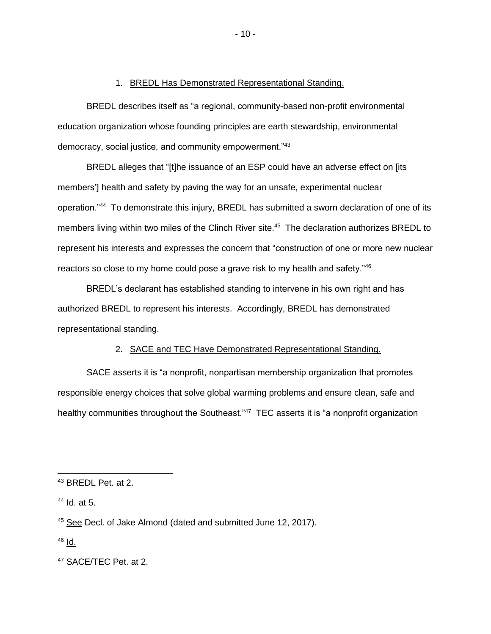#### 1. BREDL Has Demonstrated Representational Standing.

BREDL describes itself as "a regional, community-based non-profit environmental education organization whose founding principles are earth stewardship, environmental democracy, social justice, and community empowerment."<sup>43</sup>

BREDL alleges that "[t]he issuance of an ESP could have an adverse effect on [its members'] health and safety by paving the way for an unsafe, experimental nuclear operation."<sup>44</sup> To demonstrate this injury, BREDL has submitted a sworn declaration of one of its members living within two miles of the Clinch River site. 45 The declaration authorizes BREDL to represent his interests and expresses the concern that "construction of one or more new nuclear reactors so close to my home could pose a grave risk to my health and safety."<sup>46</sup>

BREDL's declarant has established standing to intervene in his own right and has authorized BREDL to represent his interests. Accordingly, BREDL has demonstrated representational standing.

### 2. SACE and TEC Have Demonstrated Representational Standing.

SACE asserts it is "a nonprofit, nonpartisan membership organization that promotes responsible energy choices that solve global warming problems and ensure clean, safe and healthy communities throughout the Southeast."<sup>47</sup> TEC asserts it is "a nonprofit organization

 $46$  Id.

<sup>43</sup> BREDL Pet. at 2.

<sup>44</sup> Id. at 5.

<sup>45</sup> See Decl. of Jake Almond (dated and submitted June 12, 2017).

<sup>47</sup> SACE/TEC Pet. at 2.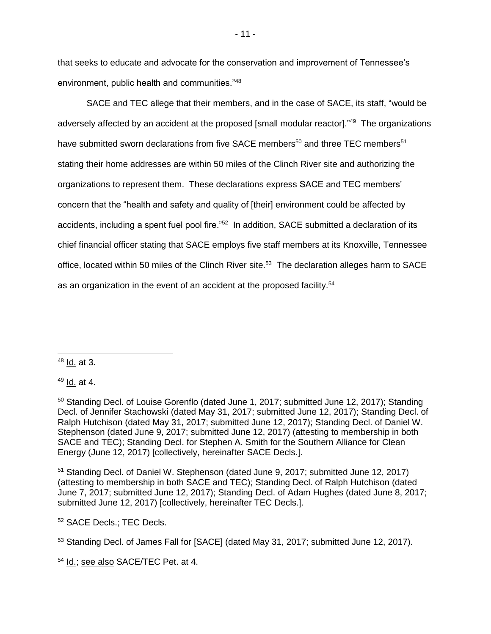that seeks to educate and advocate for the conservation and improvement of Tennessee's environment, public health and communities."<sup>48</sup>

SACE and TEC allege that their members, and in the case of SACE, its staff, "would be adversely affected by an accident at the proposed [small modular reactor]."<sup>49</sup> The organizations have submitted sworn declarations from five SACE members<sup>50</sup> and three TEC members<sup>51</sup> stating their home addresses are within 50 miles of the Clinch River site and authorizing the organizations to represent them. These declarations express SACE and TEC members' concern that the "health and safety and quality of [their] environment could be affected by accidents, including a spent fuel pool fire."<sup>52</sup> In addition, SACE submitted a declaration of its chief financial officer stating that SACE employs five staff members at its Knoxville, Tennessee office, located within 50 miles of the Clinch River site.<sup>53</sup> The declaration alleges harm to SACE as an organization in the event of an accident at the proposed facility.<sup>54</sup>

<sup>48</sup> Id. at 3.

 $\overline{a}$ 

 $49$  Id. at 4.

<sup>51</sup> Standing Decl. of Daniel W. Stephenson (dated June 9, 2017; submitted June 12, 2017) (attesting to membership in both SACE and TEC); Standing Decl. of Ralph Hutchison (dated June 7, 2017; submitted June 12, 2017); Standing Decl. of Adam Hughes (dated June 8, 2017; submitted June 12, 2017) [collectively, hereinafter TEC Decls.].

<sup>52</sup> SACE Decls.; TEC Decls.

<sup>54</sup> Id.; see also SACE/TEC Pet. at 4.

 $50$  Standing Decl. of Louise Gorenflo (dated June 1, 2017; submitted June 12, 2017); Standing Decl. of Jennifer Stachowski (dated May 31, 2017; submitted June 12, 2017); Standing Decl. of Ralph Hutchison (dated May 31, 2017; submitted June 12, 2017); Standing Decl. of Daniel W. Stephenson (dated June 9, 2017; submitted June 12, 2017) (attesting to membership in both SACE and TEC); Standing Decl. for Stephen A. Smith for the Southern Alliance for Clean Energy (June 12, 2017) [collectively, hereinafter SACE Decls.].

<sup>53</sup> Standing Decl. of James Fall for [SACE] (dated May 31, 2017; submitted June 12, 2017).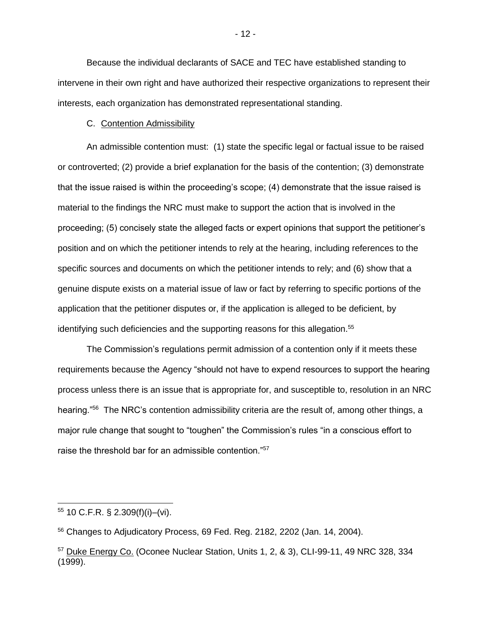Because the individual declarants of SACE and TEC have established standing to intervene in their own right and have authorized their respective organizations to represent their interests, each organization has demonstrated representational standing.

### C. Contention Admissibility

An admissible contention must: (1) state the specific legal or factual issue to be raised or controverted; (2) provide a brief explanation for the basis of the contention; (3) demonstrate that the issue raised is within the proceeding's scope; (4) demonstrate that the issue raised is material to the findings the NRC must make to support the action that is involved in the proceeding; (5) concisely state the alleged facts or expert opinions that support the petitioner's position and on which the petitioner intends to rely at the hearing, including references to the specific sources and documents on which the petitioner intends to rely; and (6) show that a genuine dispute exists on a material issue of law or fact by referring to specific portions of the application that the petitioner disputes or, if the application is alleged to be deficient, by identifying such deficiencies and the supporting reasons for this allegation.<sup>55</sup>

The Commission's regulations permit admission of a contention only if it meets these requirements because the Agency "should not have to expend resources to support the hearing process unless there is an issue that is appropriate for, and susceptible to, resolution in an NRC hearing."<sup>56</sup> The NRC's contention admissibility criteria are the result of, among other things, a major rule change that sought to "toughen" the Commission's rules "in a conscious effort to raise the threshold bar for an admissible contention."<sup>57</sup>

 $\overline{a}$ 

<sup>55</sup> 10 C.F.R. § 2.309(f)(i)–(vi).

<sup>56</sup> Changes to Adjudicatory Process, 69 Fed. Reg. 2182, 2202 (Jan. 14, 2004).

<sup>57</sup> Duke Energy Co. (Oconee Nuclear Station, Units 1, 2, & 3), CLI-99-11, 49 NRC 328, 334 (1999).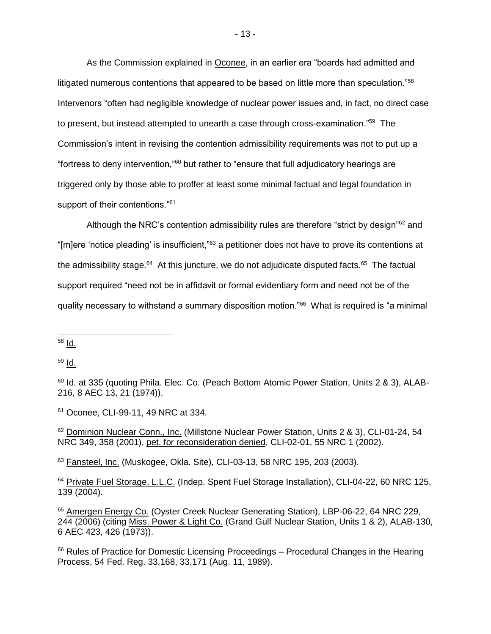As the Commission explained in Oconee, in an earlier era "boards had admitted and litigated numerous contentions that appeared to be based on little more than speculation."<sup>58</sup> Intervenors "often had negligible knowledge of nuclear power issues and, in fact, no direct case to present, but instead attempted to unearth a case through cross-examination."<sup>59</sup> The Commission's intent in revising the contention admissibility requirements was not to put up a "fortress to deny intervention,"<sup>60</sup> but rather to "ensure that full adjudicatory hearings are triggered only by those able to proffer at least some minimal factual and legal foundation in support of their contentions."<sup>61</sup>

Although the NRC's contention admissibility rules are therefore "strict by design"<sup>62</sup> and "[m]ere 'notice pleading' is insufficient,"<sup>63</sup> a petitioner does not have to prove its contentions at the admissibility stage.<sup>64</sup> At this juncture, we do not adjudicate disputed facts.<sup>65</sup> The factual support required "need not be in affidavit or formal evidentiary form and need not be of the quality necessary to withstand a summary disposition motion."<sup>66</sup> What is required is "a minimal

 $\overline{a}$ 

 $59$  Id.

63 Fansteel, Inc. (Muskogee, Okla. Site), CLI-03-13, 58 NRC 195, 203 (2003).

<sup>58</sup> Id.

<sup>&</sup>lt;sup>60</sup> Id. at 335 (quoting Phila. Elec. Co. (Peach Bottom Atomic Power Station, Units 2 & 3), ALAB-216, 8 AEC 13, 21 (1974)).

<sup>61</sup> Oconee, CLI-99-11, 49 NRC at 334.

<sup>62</sup> Dominion Nuclear Conn., Inc. (Millstone Nuclear Power Station, Units 2 & 3), CLI-01-24, 54 NRC 349, 358 (2001), pet. for reconsideration denied, CLI-02-01, 55 NRC 1 (2002).

<sup>64</sup> Private Fuel Storage, L.L.C. (Indep. Spent Fuel Storage Installation), CLI-04-22, 60 NRC 125, 139 (2004).

<sup>65</sup> Amergen Energy Co. (Oyster Creek Nuclear Generating Station), LBP-06-22, 64 NRC 229, 244 (2006) (citing Miss. Power & Light Co. (Grand Gulf Nuclear Station, Units 1 & 2), ALAB-130, 6 AEC 423, 426 (1973)).

<sup>&</sup>lt;sup>66</sup> Rules of Practice for Domestic Licensing Proceedings – Procedural Changes in the Hearing Process, 54 Fed. Reg. 33,168, 33,171 (Aug. 11, 1989).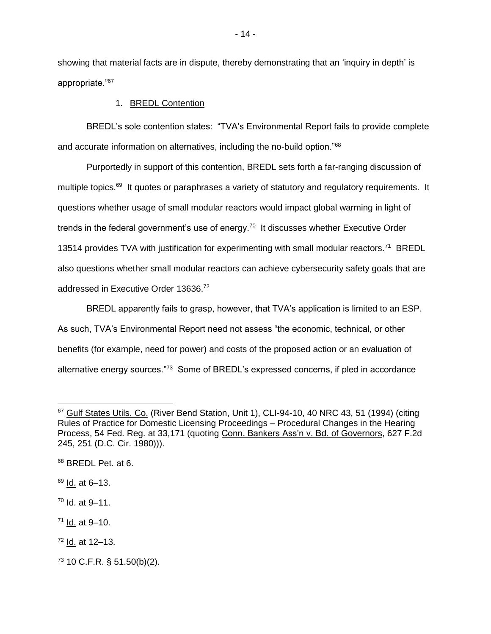showing that material facts are in dispute, thereby demonstrating that an 'inquiry in depth' is appropriate."<sup>67</sup>

### 1. BREDL Contention

BREDL's sole contention states: "TVA's Environmental Report fails to provide complete and accurate information on alternatives, including the no-build option."<sup>68</sup>

Purportedly in support of this contention, BREDL sets forth a far-ranging discussion of multiple topics.<sup>69</sup> It quotes or paraphrases a variety of statutory and regulatory requirements. It questions whether usage of small modular reactors would impact global warming in light of trends in the federal government's use of energy.<sup>70</sup> It discusses whether Executive Order 13514 provides TVA with justification for experimenting with small modular reactors.<sup>71</sup> BREDL also questions whether small modular reactors can achieve cybersecurity safety goals that are addressed in Executive Order 13636.<sup>72</sup>

BREDL apparently fails to grasp, however, that TVA's application is limited to an ESP. As such, TVA's Environmental Report need not assess "the economic, technical, or other benefits (for example, need for power) and costs of the proposed action or an evaluation of alternative energy sources."<sup>73</sup> Some of BREDL's expressed concerns, if pled in accordance

 $\overline{a}$ 

<sup>&</sup>lt;sup>67</sup> Gulf States Utils. Co. (River Bend Station, Unit 1), CLI-94-10, 40 NRC 43, 51 (1994) (citing Rules of Practice for Domestic Licensing Proceedings – Procedural Changes in the Hearing Process, 54 Fed. Reg. at 33,171 (quoting Conn. Bankers Ass'n v. Bd. of Governors, 627 F.2d 245, 251 (D.C. Cir. 1980))).

<sup>68</sup> BREDL Pet. at 6.

 $69$  Id. at 6-13.

<sup>70</sup> Id. at 9–11.

 $71$  Id. at 9-10.

<sup>72</sup> Id. at 12–13.

 $73$  10 C.F.R. § 51.50(b)(2).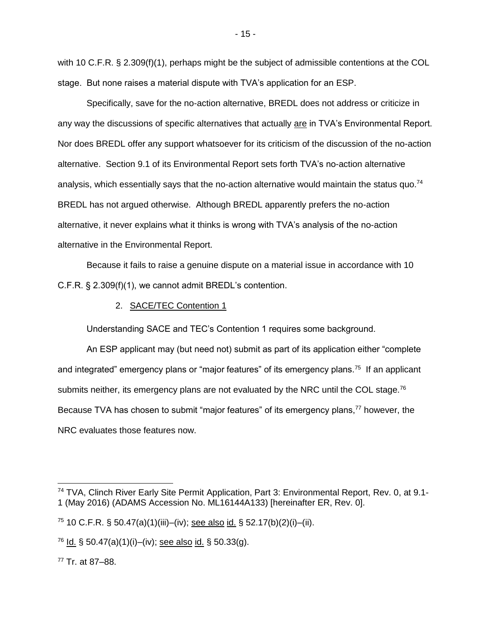with 10 C.F.R. § 2.309(f)(1), perhaps might be the subject of admissible contentions at the COL stage. But none raises a material dispute with TVA's application for an ESP.

Specifically, save for the no-action alternative, BREDL does not address or criticize in any way the discussions of specific alternatives that actually are in TVA's Environmental Report. Nor does BREDL offer any support whatsoever for its criticism of the discussion of the no-action alternative. Section 9.1 of its Environmental Report sets forth TVA's no-action alternative analysis, which essentially says that the no-action alternative would maintain the status quo.<sup>74</sup> BREDL has not argued otherwise. Although BREDL apparently prefers the no-action alternative, it never explains what it thinks is wrong with TVA's analysis of the no-action alternative in the Environmental Report.

Because it fails to raise a genuine dispute on a material issue in accordance with 10 C.F.R. § 2.309(f)(1), we cannot admit BREDL's contention.

### 2. SACE/TEC Contention 1

Understanding SACE and TEC's Contention 1 requires some background.

An ESP applicant may (but need not) submit as part of its application either "complete and integrated" emergency plans or "major features" of its emergency plans.<sup>75</sup> If an applicant submits neither, its emergency plans are not evaluated by the NRC until the COL stage.<sup>76</sup> Because TVA has chosen to submit "major features" of its emergency plans,<sup>77</sup> however, the NRC evaluates those features now.

<sup>77</sup> Tr. at 87–88.

<sup>&</sup>lt;sup>74</sup> TVA, Clinch River Early Site Permit Application, Part 3: Environmental Report, Rev. 0, at 9.1-1 (May 2016) (ADAMS Accession No. ML16144A133) [hereinafter ER, Rev. 0].

 $75$  10 C.F.R. § 50.47(a)(1)(iii)–(iv); see also id. § 52.17(b)(2)(i)–(ii).

<sup>&</sup>lt;sup>76</sup> Id. § 50.47(a)(1)(i)–(iv); see also id. § 50.33(g).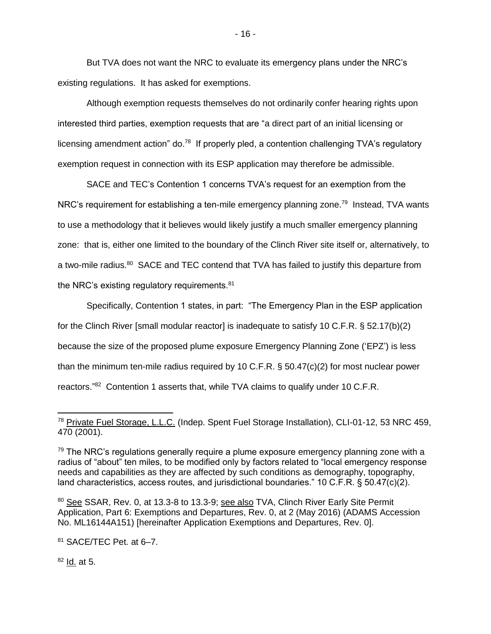But TVA does not want the NRC to evaluate its emergency plans under the NRC's existing regulations. It has asked for exemptions.

Although exemption requests themselves do not ordinarily confer hearing rights upon interested third parties, exemption requests that are "a direct part of an initial licensing or licensing amendment action" do.<sup>78</sup> If properly pled, a contention challenging TVA's regulatory exemption request in connection with its ESP application may therefore be admissible.

SACE and TEC's Contention 1 concerns TVA's request for an exemption from the NRC's requirement for establishing a ten-mile emergency planning zone.<sup>79</sup> Instead, TVA wants to use a methodology that it believes would likely justify a much smaller emergency planning zone: that is, either one limited to the boundary of the Clinch River site itself or, alternatively, to a two-mile radius.<sup>80</sup> SACE and TEC contend that TVA has failed to justify this departure from the NRC's existing regulatory requirements.<sup>81</sup>

Specifically, Contention 1 states, in part: "The Emergency Plan in the ESP application for the Clinch River [small modular reactor] is inadequate to satisfy 10 C.F.R. § 52.17(b)(2) because the size of the proposed plume exposure Emergency Planning Zone ('EPZ') is less than the minimum ten-mile radius required by 10 C.F.R.  $\S$  50.47(c)(2) for most nuclear power reactors."<sup>82</sup> Contention 1 asserts that, while TVA claims to qualify under 10 C.F.R.

80 See SSAR, Rev. 0, at 13.3-8 to 13.3-9; see also TVA, Clinch River Early Site Permit Application, Part 6: Exemptions and Departures, Rev. 0, at 2 (May 2016) (ADAMS Accession No. ML16144A151) [hereinafter Application Exemptions and Departures, Rev. 0].

<sup>81</sup> SACE/TEC Pet. at 6–7.

 $82$  Id. at 5.

 $\overline{a}$ <sup>78</sup> Private Fuel Storage, L.L.C. (Indep. Spent Fuel Storage Installation), CLI-01-12, 53 NRC 459, 470 (2001).

 $79$  The NRC's regulations generally require a plume exposure emergency planning zone with a radius of "about" ten miles, to be modified only by factors related to "local emergency response needs and capabilities as they are affected by such conditions as demography, topography, land characteristics, access routes, and jurisdictional boundaries." 10 C.F.R. § 50.47(c)(2).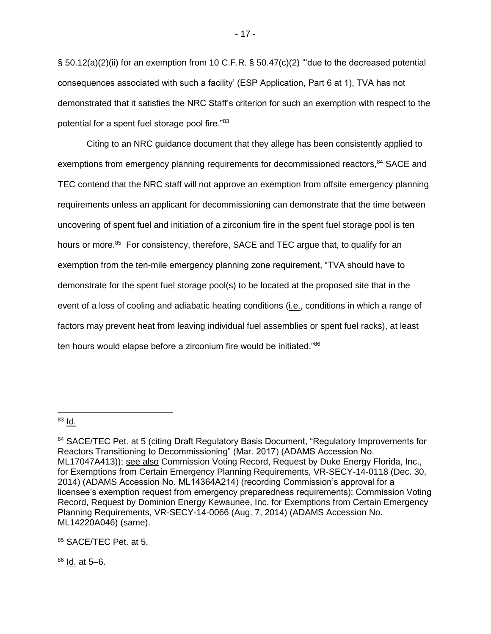§ 50.12(a)(2)(ii) for an exemption from 10 C.F.R. § 50.47(c)(2) "'due to the decreased potential consequences associated with such a facility' (ESP Application, Part 6 at 1), TVA has not demonstrated that it satisfies the NRC Staff's criterion for such an exemption with respect to the potential for a spent fuel storage pool fire."<sup>83</sup>

Citing to an NRC guidance document that they allege has been consistently applied to exemptions from emergency planning requirements for decommissioned reactors,<sup>84</sup> SACE and TEC contend that the NRC staff will not approve an exemption from offsite emergency planning requirements unless an applicant for decommissioning can demonstrate that the time between uncovering of spent fuel and initiation of a zirconium fire in the spent fuel storage pool is ten hours or more.<sup>85</sup> For consistency, therefore, SACE and TEC argue that, to qualify for an exemption from the ten-mile emergency planning zone requirement, "TVA should have to demonstrate for the spent fuel storage pool(s) to be located at the proposed site that in the event of a loss of cooling and adiabatic heating conditions (i.e., conditions in which a range of factors may prevent heat from leaving individual fuel assemblies or spent fuel racks), at least ten hours would elapse before a zirconium fire would be initiated."<sup>86</sup>

#### $83$  Id.

85 SACE/TEC Pet. at 5.

 $86$  Id. at 5–6.

<sup>84</sup> SACE/TEC Pet. at 5 (citing Draft Regulatory Basis Document, "Regulatory Improvements for Reactors Transitioning to Decommissioning" (Mar. 2017) (ADAMS Accession No. ML17047A413)); see also Commission Voting Record, Request by Duke Energy Florida, Inc., for Exemptions from Certain Emergency Planning Requirements, VR-SECY-14-0118 (Dec. 30, 2014) (ADAMS Accession No. ML14364A214) (recording Commission's approval for a licensee's exemption request from emergency preparedness requirements); Commission Voting Record, Request by Dominion Energy Kewaunee, Inc. for Exemptions from Certain Emergency Planning Requirements, VR-SECY-14-0066 (Aug. 7, 2014) (ADAMS Accession No. ML14220A046) (same).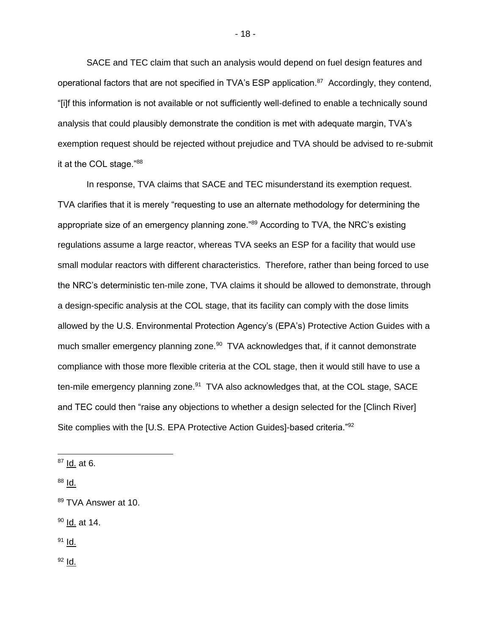SACE and TEC claim that such an analysis would depend on fuel design features and operational factors that are not specified in TVA's ESP application.<sup>87</sup> Accordingly, they contend, "[i]f this information is not available or not sufficiently well-defined to enable a technically sound analysis that could plausibly demonstrate the condition is met with adequate margin, TVA's exemption request should be rejected without prejudice and TVA should be advised to re-submit it at the COL stage."88

In response, TVA claims that SACE and TEC misunderstand its exemption request. TVA clarifies that it is merely "requesting to use an alternate methodology for determining the appropriate size of an emergency planning zone."<sup>89</sup> According to TVA, the NRC's existing regulations assume a large reactor, whereas TVA seeks an ESP for a facility that would use small modular reactors with different characteristics. Therefore, rather than being forced to use the NRC's deterministic ten-mile zone, TVA claims it should be allowed to demonstrate, through a design-specific analysis at the COL stage, that its facility can comply with the dose limits allowed by the U.S. Environmental Protection Agency's (EPA's) Protective Action Guides with a much smaller emergency planning zone.<sup>90</sup> TVA acknowledges that, if it cannot demonstrate compliance with those more flexible criteria at the COL stage, then it would still have to use a ten-mile emergency planning zone.<sup>91</sup> TVA also acknowledges that, at the COL stage, SACE and TEC could then "raise any objections to whether a design selected for the [Clinch River] Site complies with the [U.S. EPA Protective Action Guides]-based criteria."<sup>92</sup>

 $^{88}$  Id.

<sup>90</sup> Id. at 14.

 $91$  Id.

 $92$   $1d.$ 

 $87$  Id. at 6.

<sup>89</sup> TVA Answer at 10.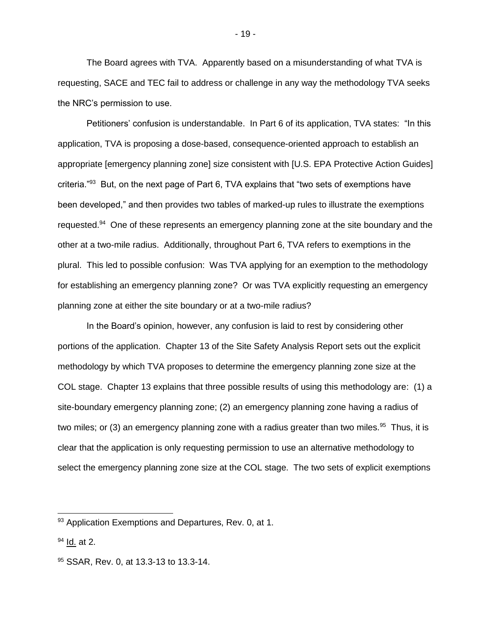The Board agrees with TVA. Apparently based on a misunderstanding of what TVA is requesting, SACE and TEC fail to address or challenge in any way the methodology TVA seeks the NRC's permission to use.

Petitioners' confusion is understandable. In Part 6 of its application, TVA states: "In this application, TVA is proposing a dose-based, consequence-oriented approach to establish an appropriate [emergency planning zone] size consistent with [U.S. EPA Protective Action Guides] criteria."<sup>93</sup> But, on the next page of Part 6, TVA explains that "two sets of exemptions have been developed," and then provides two tables of marked-up rules to illustrate the exemptions requested.<sup>94</sup> One of these represents an emergency planning zone at the site boundary and the other at a two-mile radius. Additionally, throughout Part 6, TVA refers to exemptions in the plural. This led to possible confusion: Was TVA applying for an exemption to the methodology for establishing an emergency planning zone? Or was TVA explicitly requesting an emergency planning zone at either the site boundary or at a two-mile radius?

In the Board's opinion, however, any confusion is laid to rest by considering other portions of the application. Chapter 13 of the Site Safety Analysis Report sets out the explicit methodology by which TVA proposes to determine the emergency planning zone size at the COL stage. Chapter 13 explains that three possible results of using this methodology are: (1) a site-boundary emergency planning zone; (2) an emergency planning zone having a radius of two miles; or (3) an emergency planning zone with a radius greater than two miles.<sup>95</sup> Thus, it is clear that the application is only requesting permission to use an alternative methodology to select the emergency planning zone size at the COL stage. The two sets of explicit exemptions

<sup>93</sup> Application Exemptions and Departures, Rev. 0, at 1.

 $94$  Id. at 2.

<sup>95</sup> SSAR, Rev. 0, at 13.3-13 to 13.3-14.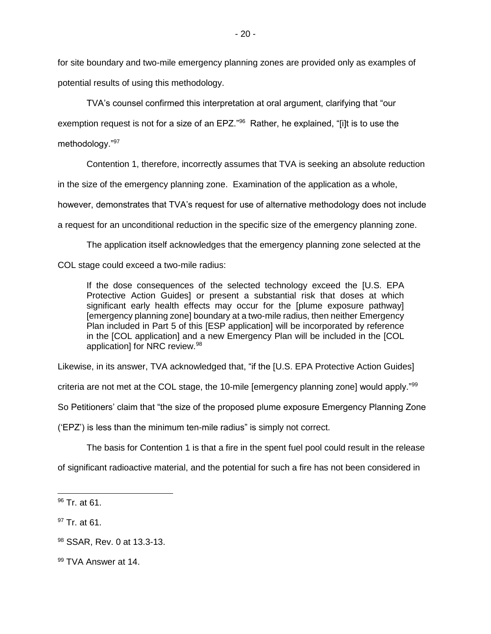for site boundary and two-mile emergency planning zones are provided only as examples of potential results of using this methodology.

TVA's counsel confirmed this interpretation at oral argument, clarifying that "our exemption request is not for a size of an EPZ."<sup>96</sup> Rather, he explained, "[i]t is to use the methodology."<sup>97</sup>

Contention 1, therefore, incorrectly assumes that TVA is seeking an absolute reduction

in the size of the emergency planning zone. Examination of the application as a whole,

however, demonstrates that TVA's request for use of alternative methodology does not include

a request for an unconditional reduction in the specific size of the emergency planning zone.

The application itself acknowledges that the emergency planning zone selected at the

COL stage could exceed a two-mile radius:

If the dose consequences of the selected technology exceed the [U.S. EPA Protective Action Guides] or present a substantial risk that doses at which significant early health effects may occur for the [plume exposure pathway] [emergency planning zone] boundary at a two-mile radius, then neither Emergency Plan included in Part 5 of this [ESP application] will be incorporated by reference in the [COL application] and a new Emergency Plan will be included in the [COL application] for NRC review.<sup>98</sup>

Likewise, in its answer, TVA acknowledged that, "if the [U.S. EPA Protective Action Guides]

criteria are not met at the COL stage, the 10-mile [emergency planning zone] would apply." $99$ 

So Petitioners' claim that "the size of the proposed plume exposure Emergency Planning Zone

('EPZ') is less than the minimum ten-mile radius" is simply not correct.

The basis for Contention 1 is that a fire in the spent fuel pool could result in the release

of significant radioactive material, and the potential for such a fire has not been considered in

 $\overline{a}$ 

<sup>&</sup>lt;sup>96</sup> Tr. at 61.

<sup>97</sup> Tr. at 61.

<sup>98</sup> SSAR, Rev. 0 at 13.3-13.

<sup>99</sup> TVA Answer at 14.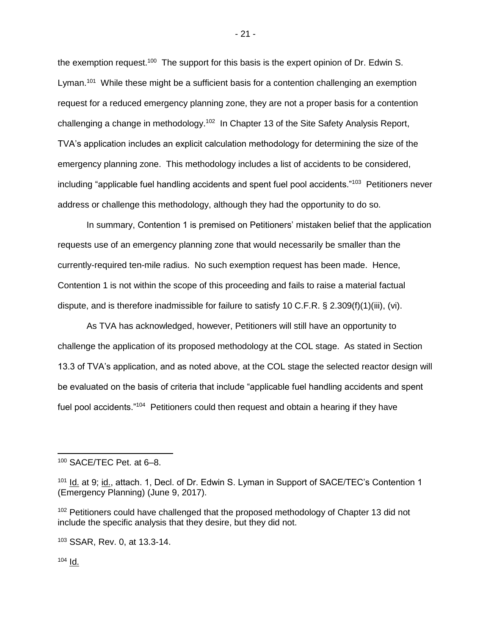the exemption request.<sup>100</sup> The support for this basis is the expert opinion of Dr. Edwin S. Lyman.<sup>101</sup> While these might be a sufficient basis for a contention challenging an exemption request for a reduced emergency planning zone, they are not a proper basis for a contention challenging a change in methodology.<sup>102</sup> In Chapter 13 of the Site Safety Analysis Report, TVA's application includes an explicit calculation methodology for determining the size of the emergency planning zone. This methodology includes a list of accidents to be considered, including "applicable fuel handling accidents and spent fuel pool accidents."<sup>103</sup> Petitioners never address or challenge this methodology, although they had the opportunity to do so.

In summary, Contention 1 is premised on Petitioners' mistaken belief that the application requests use of an emergency planning zone that would necessarily be smaller than the currently-required ten-mile radius. No such exemption request has been made. Hence, Contention 1 is not within the scope of this proceeding and fails to raise a material factual dispute, and is therefore inadmissible for failure to satisfy 10 C.F.R. § 2.309(f)(1)(iii), (vi).

As TVA has acknowledged, however, Petitioners will still have an opportunity to challenge the application of its proposed methodology at the COL stage. As stated in Section 13.3 of TVA's application, and as noted above, at the COL stage the selected reactor design will be evaluated on the basis of criteria that include "applicable fuel handling accidents and spent fuel pool accidents."<sup>104</sup> Petitioners could then request and obtain a hearing if they have

 $104$  Id.

 $\overline{a}$ 

- 21 -

<sup>100</sup> SACE/TEC Pet. at 6–8.

<sup>&</sup>lt;sup>101</sup> Id. at 9; id., attach. 1, Decl. of Dr. Edwin S. Lyman in Support of SACE/TEC's Contention 1 (Emergency Planning) (June 9, 2017).

<sup>&</sup>lt;sup>102</sup> Petitioners could have challenged that the proposed methodology of Chapter 13 did not include the specific analysis that they desire, but they did not.

<sup>103</sup> SSAR, Rev. 0, at 13.3-14.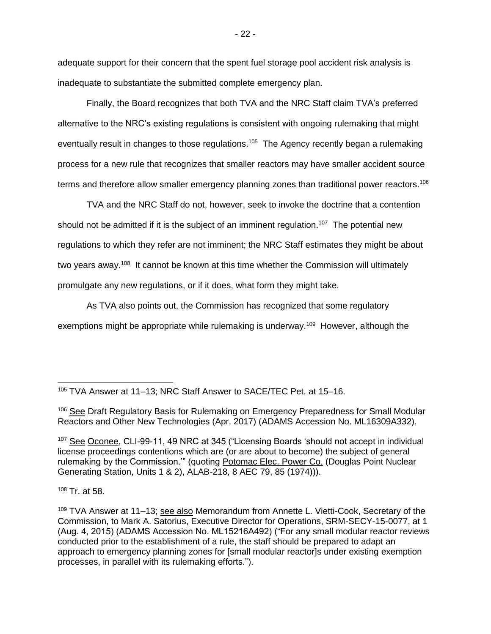adequate support for their concern that the spent fuel storage pool accident risk analysis is inadequate to substantiate the submitted complete emergency plan.

Finally, the Board recognizes that both TVA and the NRC Staff claim TVA's preferred alternative to the NRC's existing regulations is consistent with ongoing rulemaking that might eventually result in changes to those regulations.<sup>105</sup> The Agency recently began a rulemaking process for a new rule that recognizes that smaller reactors may have smaller accident source terms and therefore allow smaller emergency planning zones than traditional power reactors.<sup>106</sup>

TVA and the NRC Staff do not, however, seek to invoke the doctrine that a contention should not be admitted if it is the subject of an imminent regulation.<sup>107</sup> The potential new regulations to which they refer are not imminent; the NRC Staff estimates they might be about two years away.<sup>108</sup> It cannot be known at this time whether the Commission will ultimately promulgate any new regulations, or if it does, what form they might take.

As TVA also points out, the Commission has recognized that some regulatory exemptions might be appropriate while rulemaking is underway.<sup>109</sup> However, although the

<sup>108</sup> Tr. at 58.

 $\overline{a}$ <sup>105</sup> TVA Answer at 11–13; NRC Staff Answer to SACE/TEC Pet. at 15–16.

<sup>&</sup>lt;sup>106</sup> See Draft Regulatory Basis for Rulemaking on Emergency Preparedness for Small Modular Reactors and Other New Technologies (Apr. 2017) (ADAMS Accession No. ML16309A332).

<sup>107</sup> See Oconee, CLI-99-11, 49 NRC at 345 ("Licensing Boards 'should not accept in individual license proceedings contentions which are (or are about to become) the subject of general rulemaking by the Commission."" (quoting Potomac Elec. Power Co. (Douglas Point Nuclear Generating Station, Units 1 & 2), ALAB-218, 8 AEC 79, 85 (1974))).

<sup>109</sup> TVA Answer at 11–13; see also Memorandum from Annette L. Vietti-Cook, Secretary of the Commission, to Mark A. Satorius, Executive Director for Operations, SRM-SECY-15-0077, at 1 (Aug. 4, 2015) (ADAMS Accession No. ML15216A492) ("For any small modular reactor reviews conducted prior to the establishment of a rule, the staff should be prepared to adapt an approach to emergency planning zones for [small modular reactor]s under existing exemption processes, in parallel with its rulemaking efforts.").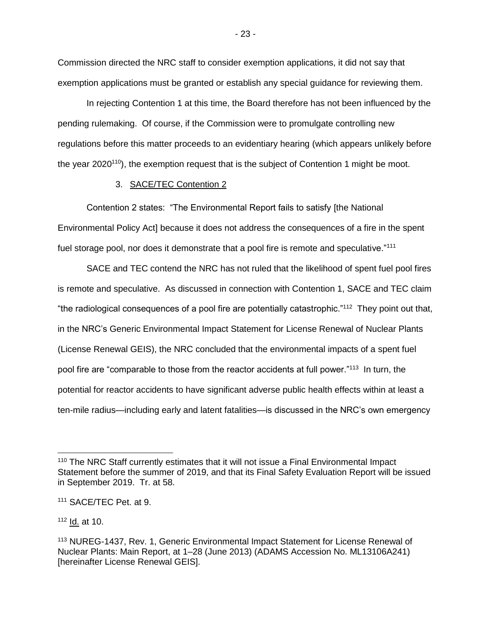Commission directed the NRC staff to consider exemption applications, it did not say that exemption applications must be granted or establish any special guidance for reviewing them.

In rejecting Contention 1 at this time, the Board therefore has not been influenced by the pending rulemaking. Of course, if the Commission were to promulgate controlling new regulations before this matter proceeds to an evidentiary hearing (which appears unlikely before the year  $2020^{10}$ , the exemption request that is the subject of Contention 1 might be moot.

### 3. SACE/TEC Contention 2

Contention 2 states: "The Environmental Report fails to satisfy [the National Environmental Policy Act] because it does not address the consequences of a fire in the spent fuel storage pool, nor does it demonstrate that a pool fire is remote and speculative."<sup>111</sup>

SACE and TEC contend the NRC has not ruled that the likelihood of spent fuel pool fires is remote and speculative. As discussed in connection with Contention 1, SACE and TEC claim "the radiological consequences of a pool fire are potentially catastrophic."<sup>112</sup> They point out that, in the NRC's Generic Environmental Impact Statement for License Renewal of Nuclear Plants (License Renewal GEIS), the NRC concluded that the environmental impacts of a spent fuel pool fire are "comparable to those from the reactor accidents at full power."<sup>113</sup> In turn, the potential for reactor accidents to have significant adverse public health effects within at least a ten-mile radius—including early and latent fatalities—is discussed in the NRC's own emergency

 $112$  Id. at 10.

 $\overline{a}$ 

- 23 -

<sup>&</sup>lt;sup>110</sup> The NRC Staff currently estimates that it will not issue a Final Environmental Impact Statement before the summer of 2019, and that its Final Safety Evaluation Report will be issued in September 2019. Tr. at 58.

<sup>111</sup> SACE/TEC Pet. at 9.

<sup>113</sup> NUREG-1437, Rev. 1, Generic Environmental Impact Statement for License Renewal of Nuclear Plants: Main Report, at 1–28 (June 2013) (ADAMS Accession No. ML13106A241) [hereinafter License Renewal GEIS].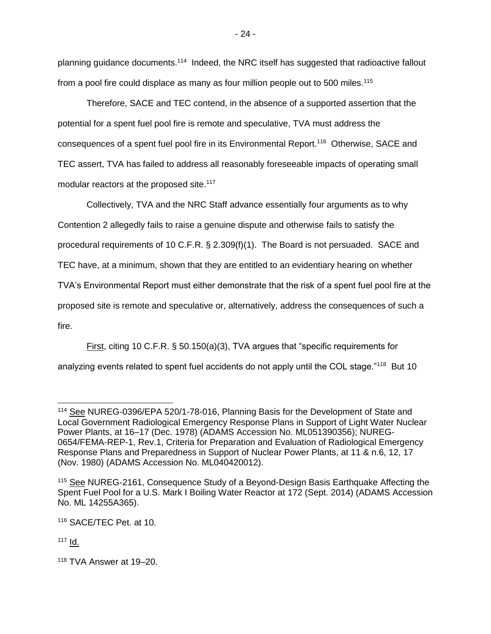planning guidance documents.<sup>114</sup> Indeed, the NRC itself has suggested that radioactive fallout from a pool fire could displace as many as four million people out to 500 miles.<sup>115</sup>

Therefore, SACE and TEC contend, in the absence of a supported assertion that the potential for a spent fuel pool fire is remote and speculative, TVA must address the consequences of a spent fuel pool fire in its Environmental Report.<sup>116</sup> Otherwise, SACE and TEC assert, TVA has failed to address all reasonably foreseeable impacts of operating small modular reactors at the proposed site.<sup>117</sup>

Collectively, TVA and the NRC Staff advance essentially four arguments as to why Contention 2 allegedly fails to raise a genuine dispute and otherwise fails to satisfy the procedural requirements of 10 C.F.R. § 2.309(f)(1). The Board is not persuaded. SACE and TEC have, at a minimum, shown that they are entitled to an evidentiary hearing on whether TVA's Environmental Report must either demonstrate that the risk of a spent fuel pool fire at the proposed site is remote and speculative or, alternatively, address the consequences of such a fire.

First, citing 10 C.F.R. § 50.150(a)(3), TVA argues that "specific requirements for analyzing events related to spent fuel accidents do not apply until the COL stage."<sup>118</sup> But 10

<sup>116</sup> SACE/TEC Pet. at 10.

 $117$  Id.

<sup>114</sup> See NUREG-0396/EPA 520/1-78-016, Planning Basis for the Development of State and Local Government Radiological Emergency Response Plans in Support of Light Water Nuclear Power Plants, at 16–17 (Dec. 1978) (ADAMS Accession No. ML051390356); NUREG-0654/FEMA-REP-1, Rev.1, Criteria for Preparation and Evaluation of Radiological Emergency Response Plans and Preparedness in Support of Nuclear Power Plants, at 11 & n.6, 12, 17 (Nov. 1980) (ADAMS Accession No. ML040420012).

<sup>115</sup> See NUREG-2161, Consequence Study of a Beyond-Design Basis Earthquake Affecting the Spent Fuel Pool for a U.S. Mark I Boiling Water Reactor at 172 (Sept. 2014) (ADAMS Accession No. ML 14255A365).

<sup>118</sup> TVA Answer at 19–20.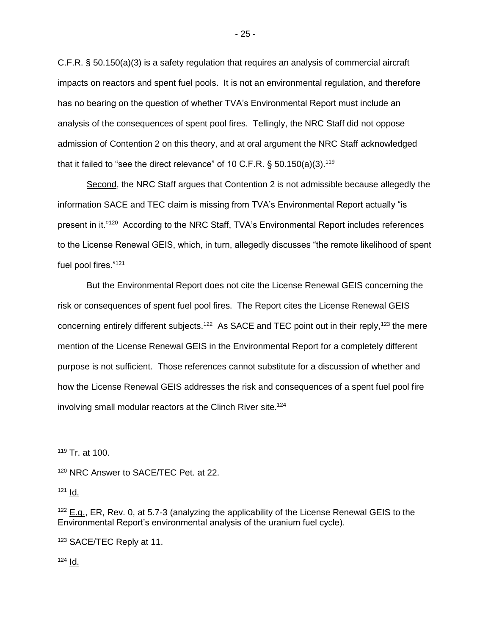C.F.R. § 50.150(a)(3) is a safety regulation that requires an analysis of commercial aircraft impacts on reactors and spent fuel pools. It is not an environmental regulation, and therefore has no bearing on the question of whether TVA's Environmental Report must include an analysis of the consequences of spent pool fires. Tellingly, the NRC Staff did not oppose admission of Contention 2 on this theory, and at oral argument the NRC Staff acknowledged that it failed to "see the direct relevance" of 10 C.F.R.  $\S$  50.150(a)(3).<sup>119</sup>

Second, the NRC Staff argues that Contention 2 is not admissible because allegedly the information SACE and TEC claim is missing from TVA's Environmental Report actually "is present in it."<sup>120</sup> According to the NRC Staff, TVA's Environmental Report includes references to the License Renewal GEIS, which, in turn, allegedly discusses "the remote likelihood of spent fuel pool fires."<sup>121</sup>

But the Environmental Report does not cite the License Renewal GEIS concerning the risk or consequences of spent fuel pool fires. The Report cites the License Renewal GEIS concerning entirely different subjects.<sup>122</sup> As SACE and TEC point out in their reply,<sup>123</sup> the mere mention of the License Renewal GEIS in the Environmental Report for a completely different purpose is not sufficient. Those references cannot substitute for a discussion of whether and how the License Renewal GEIS addresses the risk and consequences of a spent fuel pool fire involving small modular reactors at the Clinch River site.<sup>124</sup>

 $121$  Id.

 $\overline{a}$ 

 $124$  Id.

<sup>119</sup> Tr. at 100.

<sup>120</sup> NRC Answer to SACE/TEC Pet. at 22.

 $122$  E.g., ER, Rev. 0, at 5.7-3 (analyzing the applicability of the License Renewal GEIS to the Environmental Report's environmental analysis of the uranium fuel cycle).

<sup>123</sup> SACE/TEC Reply at 11.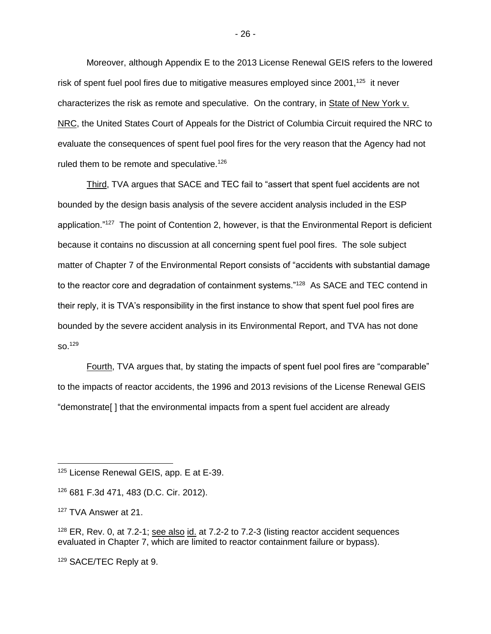Moreover, although Appendix E to the 2013 License Renewal GEIS refers to the lowered risk of spent fuel pool fires due to mitigative measures employed since 2001,<sup>125</sup> it never characterizes the risk as remote and speculative. On the contrary, in State of New York v. NRC, the United States Court of Appeals for the District of Columbia Circuit required the NRC to evaluate the consequences of spent fuel pool fires for the very reason that the Agency had not ruled them to be remote and speculative.<sup>126</sup>

Third, TVA argues that SACE and TEC fail to "assert that spent fuel accidents are not bounded by the design basis analysis of the severe accident analysis included in the ESP application."<sup>127</sup> The point of Contention 2, however, is that the Environmental Report is deficient because it contains no discussion at all concerning spent fuel pool fires. The sole subject matter of Chapter 7 of the Environmental Report consists of "accidents with substantial damage to the reactor core and degradation of containment systems."<sup>128</sup> As SACE and TEC contend in their reply, it is TVA's responsibility in the first instance to show that spent fuel pool fires are bounded by the severe accident analysis in its Environmental Report, and TVA has not done  $\mathsf{so}.^\mathsf{129}$ 

Fourth, TVA argues that, by stating the impacts of spent fuel pool fires are "comparable" to the impacts of reactor accidents, the 1996 and 2013 revisions of the License Renewal GEIS "demonstrate[ ] that the environmental impacts from a spent fuel accident are already

<sup>129</sup> SACE/TEC Reply at 9.

- 26 -

<sup>125</sup> License Renewal GEIS, app. E at E-39.

<sup>126</sup> 681 F.3d 471, 483 (D.C. Cir. 2012).

<sup>127</sup> TVA Answer at 21.

 $128$  ER, Rev. 0, at 7.2-1; see also id. at 7.2-2 to 7.2-3 (listing reactor accident sequences evaluated in Chapter 7, which are limited to reactor containment failure or bypass).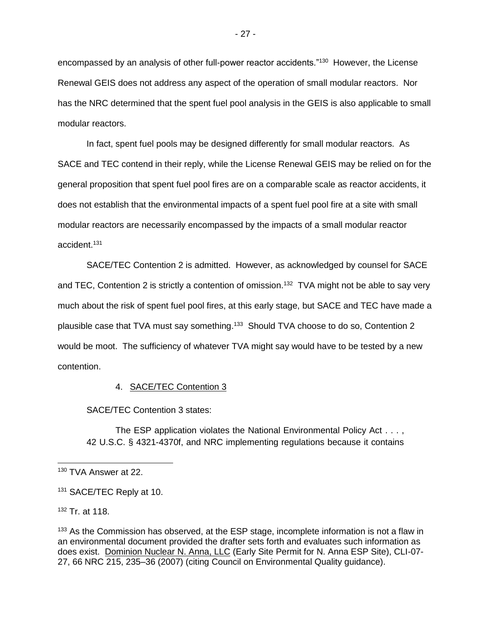encompassed by an analysis of other full-power reactor accidents."<sup>130</sup> However, the License Renewal GEIS does not address any aspect of the operation of small modular reactors. Nor has the NRC determined that the spent fuel pool analysis in the GEIS is also applicable to small modular reactors.

In fact, spent fuel pools may be designed differently for small modular reactors. As SACE and TEC contend in their reply, while the License Renewal GEIS may be relied on for the general proposition that spent fuel pool fires are on a comparable scale as reactor accidents, it does not establish that the environmental impacts of a spent fuel pool fire at a site with small modular reactors are necessarily encompassed by the impacts of a small modular reactor accident.<sup>131</sup>

SACE/TEC Contention 2 is admitted. However, as acknowledged by counsel for SACE and TEC, Contention 2 is strictly a contention of omission.<sup>132</sup> TVA might not be able to say very much about the risk of spent fuel pool fires, at this early stage, but SACE and TEC have made a plausible case that TVA must say something.<sup>133</sup> Should TVA choose to do so, Contention 2 would be moot. The sufficiency of whatever TVA might say would have to be tested by a new contention.

### 4. SACE/TEC Contention 3

SACE/TEC Contention 3 states:

The ESP application violates the National Environmental Policy Act . . . , 42 U.S.C. § 4321-4370f, and NRC implementing regulations because it contains

<sup>132</sup> Tr. at 118.

 $\overline{a}$ 

<sup>130</sup> TVA Answer at 22.

<sup>131</sup> SACE/TEC Reply at 10.

 $133$  As the Commission has observed, at the ESP stage, incomplete information is not a flaw in an environmental document provided the drafter sets forth and evaluates such information as does exist. Dominion Nuclear N. Anna, LLC (Early Site Permit for N. Anna ESP Site), CLI-07- 27, 66 NRC 215, 235–36 (2007) (citing Council on Environmental Quality guidance).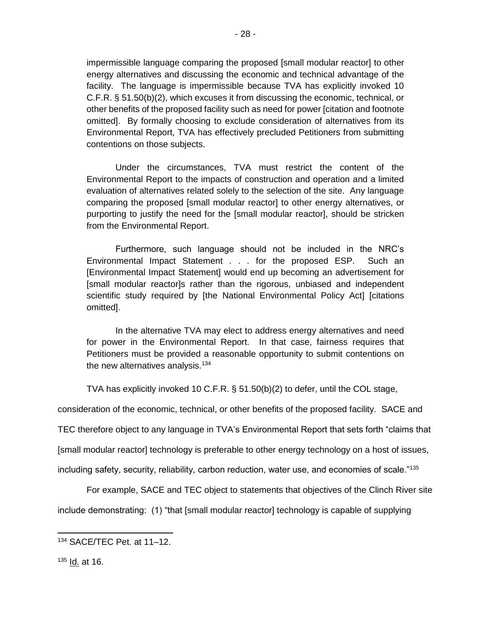impermissible language comparing the proposed [small modular reactor] to other energy alternatives and discussing the economic and technical advantage of the facility. The language is impermissible because TVA has explicitly invoked 10 C.F.R. § 51.50(b)(2), which excuses it from discussing the economic, technical, or other benefits of the proposed facility such as need for power [citation and footnote omitted]. By formally choosing to exclude consideration of alternatives from its Environmental Report, TVA has effectively precluded Petitioners from submitting contentions on those subjects.

Under the circumstances, TVA must restrict the content of the Environmental Report to the impacts of construction and operation and a limited evaluation of alternatives related solely to the selection of the site. Any language comparing the proposed [small modular reactor] to other energy alternatives, or purporting to justify the need for the [small modular reactor], should be stricken from the Environmental Report.

Furthermore, such language should not be included in the NRC's Environmental Impact Statement . . . for the proposed ESP. Such an [Environmental Impact Statement] would end up becoming an advertisement for [small modular reactor]s rather than the rigorous, unbiased and independent scientific study required by [the National Environmental Policy Act] [citations omitted].

In the alternative TVA may elect to address energy alternatives and need for power in the Environmental Report. In that case, fairness requires that Petitioners must be provided a reasonable opportunity to submit contentions on the new alternatives analysis.<sup>134</sup>

TVA has explicitly invoked 10 C.F.R. § 51.50(b)(2) to defer, until the COL stage,

consideration of the economic, technical, or other benefits of the proposed facility. SACE and

TEC therefore object to any language in TVA's Environmental Report that sets forth "claims that

[small modular reactor] technology is preferable to other energy technology on a host of issues,

including safety, security, reliability, carbon reduction, water use, and economies of scale."<sup>135</sup>

For example, SACE and TEC object to statements that objectives of the Clinch River site include demonstrating: (1) "that [small modular reactor] technology is capable of supplying

<sup>135</sup> Id. at 16.

<sup>134</sup> SACE/TEC Pet. at 11–12.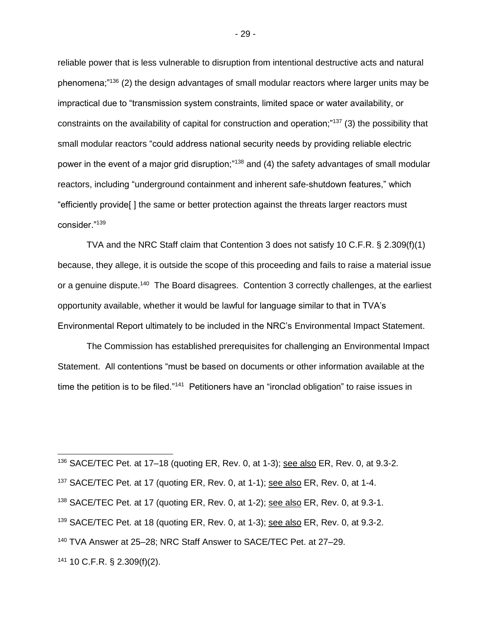reliable power that is less vulnerable to disruption from intentional destructive acts and natural phenomena;"<sup>136</sup> (2) the design advantages of small modular reactors where larger units may be impractical due to "transmission system constraints, limited space or water availability, or constraints on the availability of capital for construction and operation;"<sup>137</sup> (3) the possibility that small modular reactors "could address national security needs by providing reliable electric power in the event of a major grid disruption;"<sup>138</sup> and (4) the safety advantages of small modular reactors, including "underground containment and inherent safe-shutdown features," which "efficiently provide[ ] the same or better protection against the threats larger reactors must consider."<sup>139</sup>

TVA and the NRC Staff claim that Contention 3 does not satisfy 10 C.F.R. § 2.309(f)(1) because, they allege, it is outside the scope of this proceeding and fails to raise a material issue or a genuine dispute.<sup>140</sup> The Board disagrees. Contention 3 correctly challenges, at the earliest opportunity available, whether it would be lawful for language similar to that in TVA's Environmental Report ultimately to be included in the NRC's Environmental Impact Statement.

The Commission has established prerequisites for challenging an Environmental Impact Statement. All contentions "must be based on documents or other information available at the time the petition is to be filed."<sup>141</sup> Petitioners have an "ironclad obligation" to raise issues in

 SACE/TEC Pet. at 17–18 (quoting ER, Rev. 0, at 1-3); see also ER, Rev. 0, at 9.3-2. SACE/TEC Pet. at 17 (quoting ER, Rev. 0, at 1-1); see also ER, Rev. 0, at 1-4. SACE/TEC Pet. at 17 (quoting ER, Rev. 0, at 1-2); see also ER, Rev. 0, at 9.3-1. <sup>139</sup> SACE/TEC Pet. at 18 (quoting ER, Rev. 0, at 1-3); see also ER, Rev. 0, at 9.3-2. TVA Answer at 25–28; NRC Staff Answer to SACE/TEC Pet. at 27–29. 10 C.F.R. § 2.309(f)(2).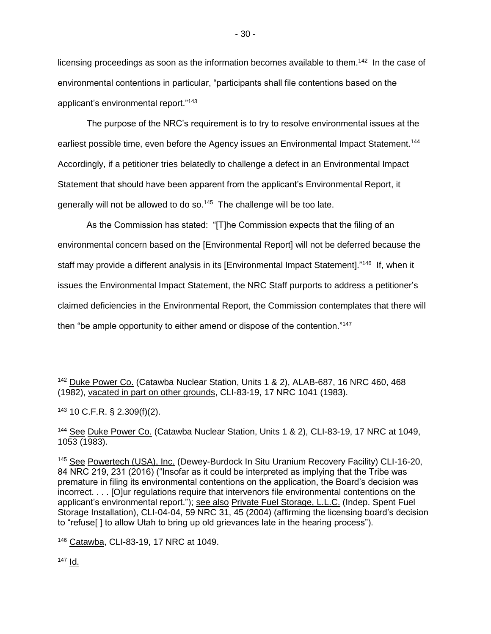licensing proceedings as soon as the information becomes available to them.<sup>142</sup> In the case of environmental contentions in particular, "participants shall file contentions based on the applicant's environmental report."<sup>143</sup>

The purpose of the NRC's requirement is to try to resolve environmental issues at the earliest possible time, even before the Agency issues an Environmental Impact Statement.<sup>144</sup> Accordingly, if a petitioner tries belatedly to challenge a defect in an Environmental Impact Statement that should have been apparent from the applicant's Environmental Report, it generally will not be allowed to do so.<sup>145</sup> The challenge will be too late.

As the Commission has stated: "[T]he Commission expects that the filing of an environmental concern based on the [Environmental Report] will not be deferred because the staff may provide a different analysis in its [Environmental Impact Statement]."<sup>146</sup> If, when it issues the Environmental Impact Statement, the NRC Staff purports to address a petitioner's claimed deficiencies in the Environmental Report, the Commission contemplates that there will then "be ample opportunity to either amend or dispose of the contention."<sup>147</sup>

 $147$   $\underline{Id}$ .

 $\overline{a}$ <sup>142</sup> Duke Power Co. (Catawba Nuclear Station, Units 1 & 2), ALAB-687, 16 NRC 460, 468 (1982), vacated in part on other grounds, CLI-83-19, 17 NRC 1041 (1983).

<sup>143</sup> 10 C.F.R. § 2.309(f)(2).

<sup>&</sup>lt;sup>144</sup> See Duke Power Co. (Catawba Nuclear Station, Units 1 & 2), CLI-83-19, 17 NRC at 1049, 1053 (1983).

<sup>&</sup>lt;sup>145</sup> See Powertech (USA), Inc. (Dewey-Burdock In Situ Uranium Recovery Facility) CLI-16-20, 84 NRC 219, 231 (2016) ("Insofar as it could be interpreted as implying that the Tribe was premature in filing its environmental contentions on the application, the Board's decision was incorrect. . . . [O]ur regulations require that intervenors file environmental contentions on the applicant's environmental report."); see also Private Fuel Storage, L.L.C. (Indep. Spent Fuel Storage Installation), CLI-04-04, 59 NRC 31, 45 (2004) (affirming the licensing board's decision to "refuse[ ] to allow Utah to bring up old grievances late in the hearing process").

<sup>146</sup> Catawba, CLI-83-19, 17 NRC at 1049.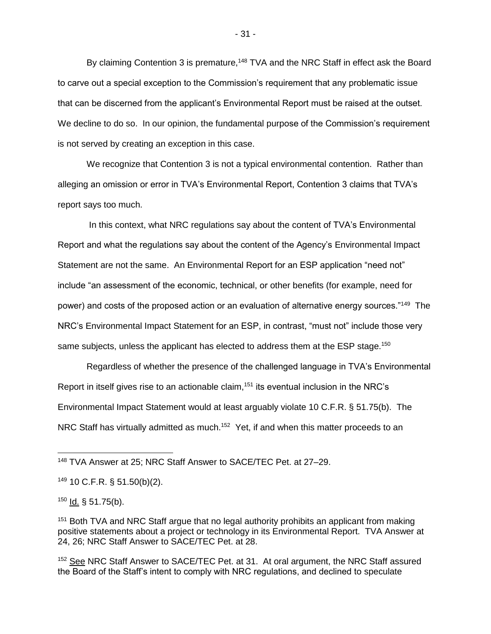By claiming Contention 3 is premature,<sup>148</sup> TVA and the NRC Staff in effect ask the Board to carve out a special exception to the Commission's requirement that any problematic issue that can be discerned from the applicant's Environmental Report must be raised at the outset. We decline to do so. In our opinion, the fundamental purpose of the Commission's requirement is not served by creating an exception in this case.

We recognize that Contention 3 is not a typical environmental contention. Rather than alleging an omission or error in TVA's Environmental Report, Contention 3 claims that TVA's report says too much.

In this context, what NRC regulations say about the content of TVA's Environmental Report and what the regulations say about the content of the Agency's Environmental Impact Statement are not the same. An Environmental Report for an ESP application "need not" include "an assessment of the economic, technical, or other benefits (for example, need for power) and costs of the proposed action or an evaluation of alternative energy sources."<sup>149</sup> The NRC's Environmental Impact Statement for an ESP, in contrast, "must not" include those very same subjects, unless the applicant has elected to address them at the ESP stage.<sup>150</sup>

Regardless of whether the presence of the challenged language in TVA's Environmental Report in itself gives rise to an actionable claim,<sup>151</sup> its eventual inclusion in the NRC's Environmental Impact Statement would at least arguably violate 10 C.F.R. § 51.75(b). The NRC Staff has virtually admitted as much.<sup>152</sup> Yet, if and when this matter proceeds to an

 $\overline{a}$ 

<sup>148</sup> TVA Answer at 25; NRC Staff Answer to SACE/TEC Pet. at 27–29.

<sup>149</sup> 10 C.F.R. § 51.50(b)(2).

 $150$  Id. § 51.75(b).

<sup>&</sup>lt;sup>151</sup> Both TVA and NRC Staff argue that no legal authority prohibits an applicant from making positive statements about a project or technology in its Environmental Report. TVA Answer at 24, 26; NRC Staff Answer to SACE/TEC Pet. at 28.

<sup>152</sup> See NRC Staff Answer to SACE/TEC Pet. at 31. At oral argument, the NRC Staff assured the Board of the Staff's intent to comply with NRC regulations, and declined to speculate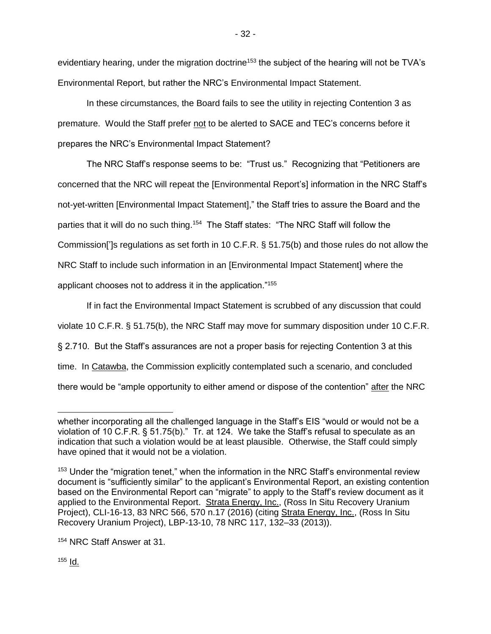evidentiary hearing, under the migration doctrine<sup>153</sup> the subject of the hearing will not be TVA's Environmental Report, but rather the NRC's Environmental Impact Statement.

In these circumstances, the Board fails to see the utility in rejecting Contention 3 as premature. Would the Staff prefer not to be alerted to SACE and TEC's concerns before it prepares the NRC's Environmental Impact Statement?

The NRC Staff's response seems to be: "Trust us." Recognizing that "Petitioners are concerned that the NRC will repeat the [Environmental Report's] information in the NRC Staff's not-yet-written [Environmental Impact Statement]," the Staff tries to assure the Board and the parties that it will do no such thing.<sup>154</sup> The Staff states: "The NRC Staff will follow the Commission[']s regulations as set forth in 10 C.F.R. § 51.75(b) and those rules do not allow the NRC Staff to include such information in an [Environmental Impact Statement] where the applicant chooses not to address it in the application."<sup>155</sup>

If in fact the Environmental Impact Statement is scrubbed of any discussion that could violate 10 C.F.R. § 51.75(b), the NRC Staff may move for summary disposition under 10 C.F.R. § 2.710. But the Staff's assurances are not a proper basis for rejecting Contention 3 at this time. In Catawba, the Commission explicitly contemplated such a scenario, and concluded there would be "ample opportunity to either amend or dispose of the contention" after the NRC

 $155$  Id.

 whether incorporating all the challenged language in the Staff's EIS "would or would not be a violation of 10 C.F.R. § 51.75(b)." Tr. at 124. We take the Staff's refusal to speculate as an indication that such a violation would be at least plausible. Otherwise, the Staff could simply have opined that it would not be a violation.

<sup>&</sup>lt;sup>153</sup> Under the "migration tenet," when the information in the NRC Staff's environmental review document is "sufficiently similar" to the applicant's Environmental Report, an existing contention based on the Environmental Report can "migrate" to apply to the Staff's review document as it applied to the Environmental Report. Strata Energy, Inc., (Ross In Situ Recovery Uranium Project), CLI-16-13, 83 NRC 566, 570 n.17 (2016) (citing Strata Energy, Inc., (Ross In Situ Recovery Uranium Project), LBP-13-10, 78 NRC 117, 132–33 (2013)).

<sup>154</sup> NRC Staff Answer at 31.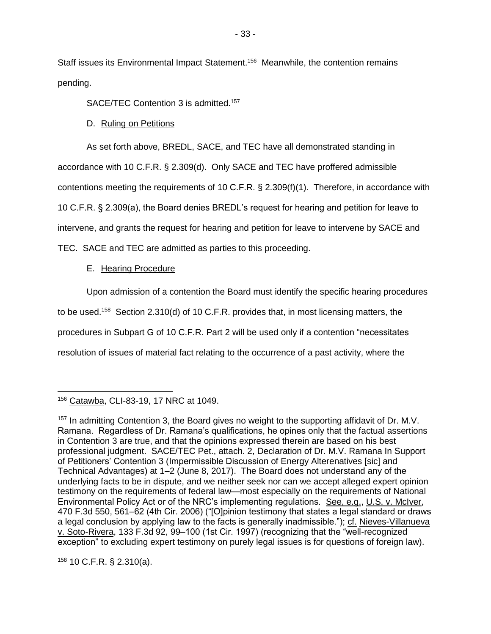Staff issues its Environmental Impact Statement.<sup>156</sup> Meanwhile, the contention remains pending.

SACE/TEC Contention 3 is admitted.<sup>157</sup>

D. Ruling on Petitions

As set forth above, BREDL, SACE, and TEC have all demonstrated standing in accordance with 10 C.F.R. § 2.309(d). Only SACE and TEC have proffered admissible contentions meeting the requirements of 10 C.F.R. § 2.309(f)(1). Therefore, in accordance with 10 C.F.R. § 2.309(a), the Board denies BREDL's request for hearing and petition for leave to intervene, and grants the request for hearing and petition for leave to intervene by SACE and TEC. SACE and TEC are admitted as parties to this proceeding.

# E. Hearing Procedure

Upon admission of a contention the Board must identify the specific hearing procedures to be used.<sup>158</sup> Section 2.310(d) of 10 C.F.R. provides that, in most licensing matters, the procedures in Subpart G of 10 C.F.R. Part 2 will be used only if a contention "necessitates resolution of issues of material fact relating to the occurrence of a past activity, where the

 $158$  10 C.F.R. § 2.310(a).

 $\overline{a}$ <sup>156</sup> Catawba, CLI-83-19, 17 NRC at 1049.

<sup>157</sup> In admitting Contention 3, the Board gives no weight to the supporting affidavit of Dr. M.V. Ramana. Regardless of Dr. Ramana's qualifications, he opines only that the factual assertions in Contention 3 are true, and that the opinions expressed therein are based on his best professional judgment. SACE/TEC Pet., attach. 2, Declaration of Dr. M.V. Ramana In Support of Petitioners' Contention 3 (Impermissible Discussion of Energy Alterenatives [sic] and Technical Advantages) at 1–2 (June 8, 2017). The Board does not understand any of the underlying facts to be in dispute, and we neither seek nor can we accept alleged expert opinion testimony on the requirements of federal law—most especially on the requirements of National Environmental Policy Act or of the NRC's implementing regulations. See, e.g., U.S. v. McIver, 470 F.3d 550, 561–62 (4th Cir. 2006) ("[O]pinion testimony that states a legal standard or draws a legal conclusion by applying law to the facts is generally inadmissible."); cf. Nieves-Villanueva v. Soto-Rivera, 133 F.3d 92, 99–100 (1st Cir. 1997) (recognizing that the "well-recognized exception" to excluding expert testimony on purely legal issues is for questions of foreign law).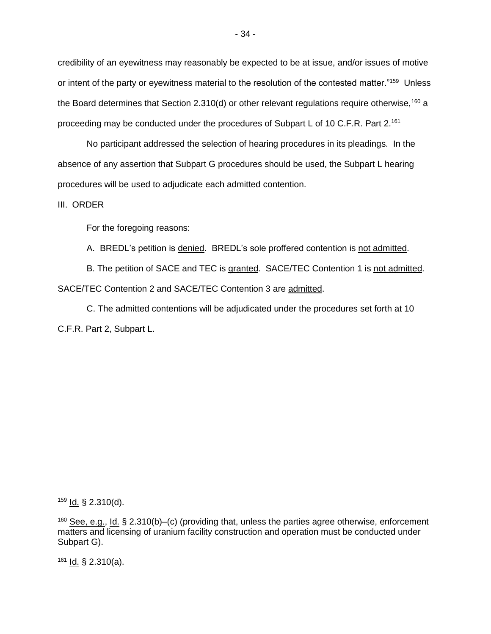credibility of an eyewitness may reasonably be expected to be at issue, and/or issues of motive or intent of the party or eyewitness material to the resolution of the contested matter."<sup>159</sup> Unless the Board determines that Section 2.310(d) or other relevant regulations require otherwise,<sup>160</sup> a proceeding may be conducted under the procedures of Subpart L of 10 C.F.R. Part 2.<sup>161</sup>

No participant addressed the selection of hearing procedures in its pleadings. In the absence of any assertion that Subpart G procedures should be used, the Subpart L hearing procedures will be used to adjudicate each admitted contention.

#### III. ORDER

For the foregoing reasons:

A. BREDL's petition is denied. BREDL's sole proffered contention is not admitted.

B. The petition of SACE and TEC is granted. SACE/TEC Contention 1 is not admitted. SACE/TEC Contention 2 and SACE/TEC Contention 3 are admitted.

C. The admitted contentions will be adjudicated under the procedures set forth at 10 C.F.R. Part 2, Subpart L.

 $161$  Id. § 2.310(a).

 $159$  Id. § 2.310(d).

 $160$  See, e.g., Id. § 2.310(b)–(c) (providing that, unless the parties agree otherwise, enforcement matters and licensing of uranium facility construction and operation must be conducted under Subpart G).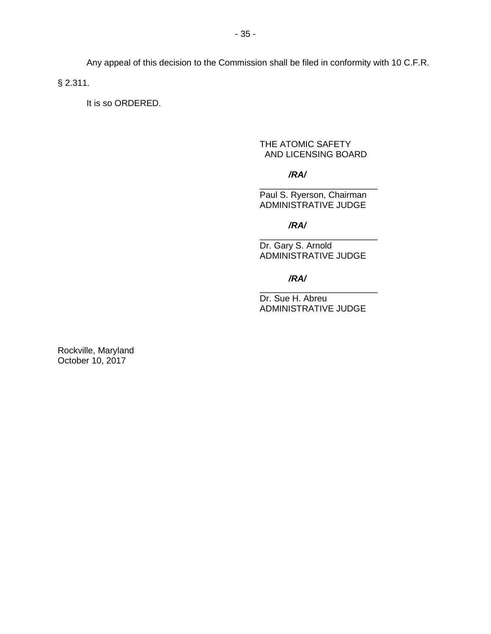Any appeal of this decision to the Commission shall be filed in conformity with 10 C.F.R.

§ 2.311.

It is so ORDERED.

### THE ATOMIC SAFETY AND LICENSING BOARD

*/RA/*

Paul S. Ryerson, Chairman ADMINISTRATIVE JUDGE

\_\_\_\_\_\_\_\_\_\_\_\_\_\_\_\_\_\_\_\_\_\_\_\_

*/RA/*

\_\_\_\_\_\_\_\_\_\_\_\_\_\_\_\_\_\_\_\_\_\_\_\_ Dr. Gary S. Arnold ADMINISTRATIVE JUDGE

*/RA/*

Dr. Sue H. Abreu ADMINISTRATIVE JUDGE

\_\_\_\_\_\_\_\_\_\_\_\_\_\_\_\_\_\_\_\_\_\_\_\_

Rockville, Maryland October 10, 2017